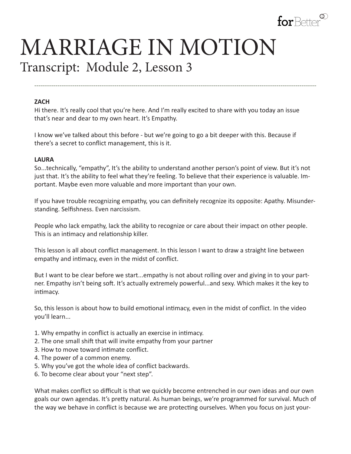

# MARRIAGE IN MOTION Transcript: Module 2, Lesson 3

## **ZACH**

Hi there. It's really cool that you're here. And I'm really excited to share with you today an issue that's near and dear to my own heart. It's Empathy.

**--------------------------------------------------------------------------------------------------------------------------------------**

I know we've talked about this before - but we're going to go a bit deeper with this. Because if there's a secret to conflict management, this is it.

#### **LAURA**

So...technically, "empathy", It's the ability to understand another person's point of view. But it's not just that. It's the ability to feel what they're feeling. To believe that their experience is valuable. Important. Maybe even more valuable and more important than your own.

If you have trouble recognizing empathy, you can definitely recognize its opposite: Apathy. Misunderstanding. Selfishness. Even narcissism.

People who lack empathy, lack the ability to recognize or care about their impact on other people. This is an intimacy and relationship killer.

This lesson is all about conflict management. In this lesson I want to draw a straight line between empathy and intimacy, even in the midst of conflict.

But I want to be clear before we start...empathy is not about rolling over and giving in to your partner. Empathy isn't being soft. It's actually extremely powerful...and sexy. Which makes it the key to intimacy.

So, this lesson is about how to build emotional intimacy, even in the midst of conflict. In the video you'll learn...

- 1. Why empathy in conflict is actually an exercise in intimacy.
- 2. The one small shift that will invite empathy from your partner
- 3. How to move toward intimate conflict.
- 4. The power of a common enemy.
- 5. Why you've got the whole idea of conflict backwards.
- 6. To become clear about your "next step".

What makes conflict so difficult is that we quickly become entrenched in our own ideas and our own goals our own agendas. It's pretty natural. As human beings, we're programmed for survival. Much of the way we behave in conflict is because we are protecting ourselves. When you focus on just your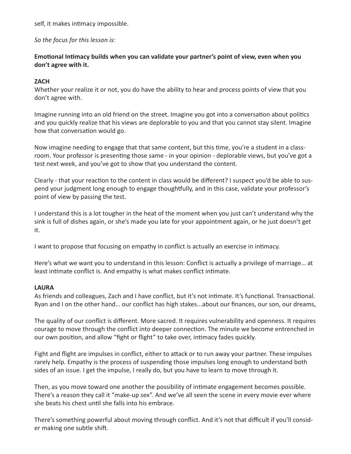self, it makes intimacy impossible.

*So the focus for this lesson is:* 

# **Emotional Intimacy builds when you can validate your partner's point of view, even when you don't agree with it.**

# **ZACH**

Whether your realize it or not, you do have the ability to hear and process points of view that you don't agree with.

Imagine running into an old friend on the street. Imagine you got into a conversation about politics and you quickly realize that his views are deplorable to you and that you cannot stay silent. Imagine how that conversation would go.

Now imagine needing to engage that that same content, but this time, you're a student in a classroom. Your professor is presenting those same - in your opinion - deplorable views, but you've got a test next week, and you've got to show that you understand the content.

Clearly - that your reaction to the content in class would be different? I suspect you'd be able to suspend your judgment long enough to engage thoughtfully, and in this case, validate your professor's point of view by passing the test.

I understand this is a lot tougher in the heat of the moment when you just can't understand why the sink is full of dishes again, or she's made you late for your appointment again, or he just doesn't get it.

I want to propose that focusing on empathy in conflict is actually an exercise in intimacy.

Here's what we want you to understand in this lesson: Conflict is actually a privilege of marriage… at least intimate conflict is. And empathy is what makes conflict intimate.

# **LAURA**

As friends and colleagues, Zach and I have conflict, but it's not intimate. It's functional. Transactional. Ryan and I on the other hand… our conflict has high stakes...about our finances, our son, our dreams,

The quality of our conflict is different. More sacred. It requires vulnerability and openness. It requires courage to move through the conflict into deeper connection. The minute we become entrenched in our own position, and allow "fight or flight" to take over, intimacy fades quickly.

Fight and flight are impulses in conflict, either to attack or to run away your partner. These impulses rarely help. Empathy is the process of suspending those impulses long enough to understand both sides of an issue. I get the impulse, I really do, but you have to learn to move through it.

Then, as you move toward one another the possibility of intimate engagement becomes possible. There's a reason they call it "make-up sex". And we've all seen the scene in every movie ever where she beats his chest until she falls into his embrace.

There's something powerful about moving through conflict. And it's not that difficult if you'll consider making one subtle shift.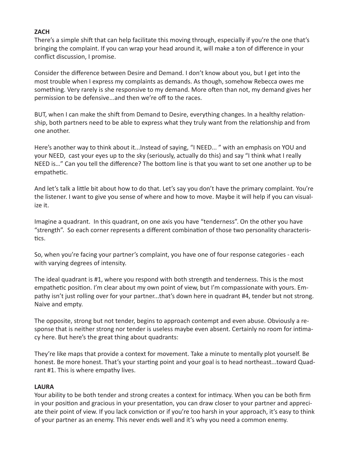## **ZACH**

There's a simple shift that can help facilitate this moving through, especially if you're the one that's bringing the complaint. If you can wrap your head around it, will make a ton of difference in your conflict discussion, I promise.

Consider the difference between Desire and Demand. I don't know about you, but I get into the most trouble when I express my complaints as demands. As though, somehow Rebecca owes me something. Very rarely is she responsive to my demand. More often than not, my demand gives her permission to be defensive...and then we're off to the races.

BUT, when I can make the shift from Demand to Desire, everything changes. In a healthy relationship, both partners need to be able to express what they truly want from the relationship and from one another.

Here's another way to think about it...Instead of saying, "I NEED... " with an emphasis on YOU and your NEED, cast your eyes up to the sky (seriously, actually do this) and say "I think what I really NEED is…" Can you tell the difference? The bottom line is that you want to set one another up to be empathetic.

And let's talk a little bit about how to do that. Let's say you don't have the primary complaint. You're the listener. I want to give you sense of where and how to move. Maybe it will help if you can visualize it.

Imagine a quadrant. In this quadrant, on one axis you have "tenderness". On the other you have "strength". So each corner represents a different combination of those two personality characteristics.

So, when you're facing your partner's complaint, you have one of four response categories - each with varying degrees of intensity.

The ideal quadrant is #1, where you respond with both strength and tenderness. This is the most empathetic position. I'm clear about my own point of view, but I'm compassionate with yours. Empathy isn't just rolling over for your partner...that's down here in quadrant #4, tender but not strong. Naive and empty.

The opposite, strong but not tender, begins to approach contempt and even abuse. Obviously a response that is neither strong nor tender is useless maybe even absent. Certainly no room for intimacy here. But here's the great thing about quadrants:

They're like maps that provide a context for movement. Take a minute to mentally plot yourself. Be honest. Be more honest. That's your starting point and your goal is to head northeast...toward Quadrant #1. This is where empathy lives.

## **LAURA**

Your ability to be both tender and strong creates a context for intimacy. When you can be both firm in your position and gracious in your presentation, you can draw closer to your partner and appreciate their point of view. If you lack conviction or if you're too harsh in your approach, it's easy to think of your partner as an enemy. This never ends well and it's why you need a common enemy.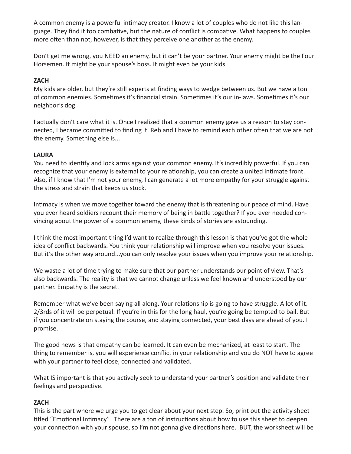A common enemy is a powerful intimacy creator. I know a lot of couples who do not like this language. They find it too combative, but the nature of conflict is combative. What happens to couples more often than not, however, is that they perceive one another as the enemy.

Don't get me wrong, you NEED an enemy, but it can't be your partner. Your enemy might be the Four Horsemen. It might be your spouse's boss. It might even be your kids.

# **ZACH**

My kids are older, but they're still experts at finding ways to wedge between us. But we have a ton of common enemies. Sometimes it's financial strain. Sometimes it's our in-laws. Sometimes it's our neighbor's dog.

I actually don't care what it is. Once I realized that a common enemy gave us a reason to stay connected, I became committed to finding it. Reb and I have to remind each other often that we are not the enemy. Something else is...

## **LAURA**

You need to identify and lock arms against your common enemy. It's incredibly powerful. If you can recognize that your enemy is external to your relationship, you can create a united intimate front. Also, if I know that I'm not your enemy, I can generate a lot more empathy for your struggle against the stress and strain that keeps us stuck.

Intimacy is when we move together toward the enemy that is threatening our peace of mind. Have you ever heard soldiers recount their memory of being in battle together? If you ever needed convincing about the power of a common enemy, these kinds of stories are astounding.

I think the most important thing I'd want to realize through this lesson is that you've got the whole idea of conflict backwards. You think your relationship will improve when you resolve your issues. But it's the other way around...you can only resolve your issues when you improve your relationship.

We waste a lot of time trying to make sure that our partner understands our point of view. That's also backwards. The reality is that we cannot change unless we feel known and understood by our partner. Empathy is the secret.

Remember what we've been saying all along. Your relationship is going to have struggle. A lot of it. 2/3rds of it will be perpetual. If you're in this for the long haul, you're going be tempted to bail. But if you concentrate on staying the course, and staying connected, your best days are ahead of you. I promise.

The good news is that empathy can be learned. It can even be mechanized, at least to start. The thing to remember is, you will experience conflict in your relationship and you do NOT have to agree with your partner to feel close, connected and validated.

What IS important is that you actively seek to understand your partner's position and validate their feelings and perspective.

## **ZACH**

This is the part where we urge you to get clear about your next step. So, print out the activity sheet titled "Emotional Intimacy". There are a ton of instructions about how to use this sheet to deepen your connection with your spouse, so I'm not gonna give directions here. BUT, the worksheet will be